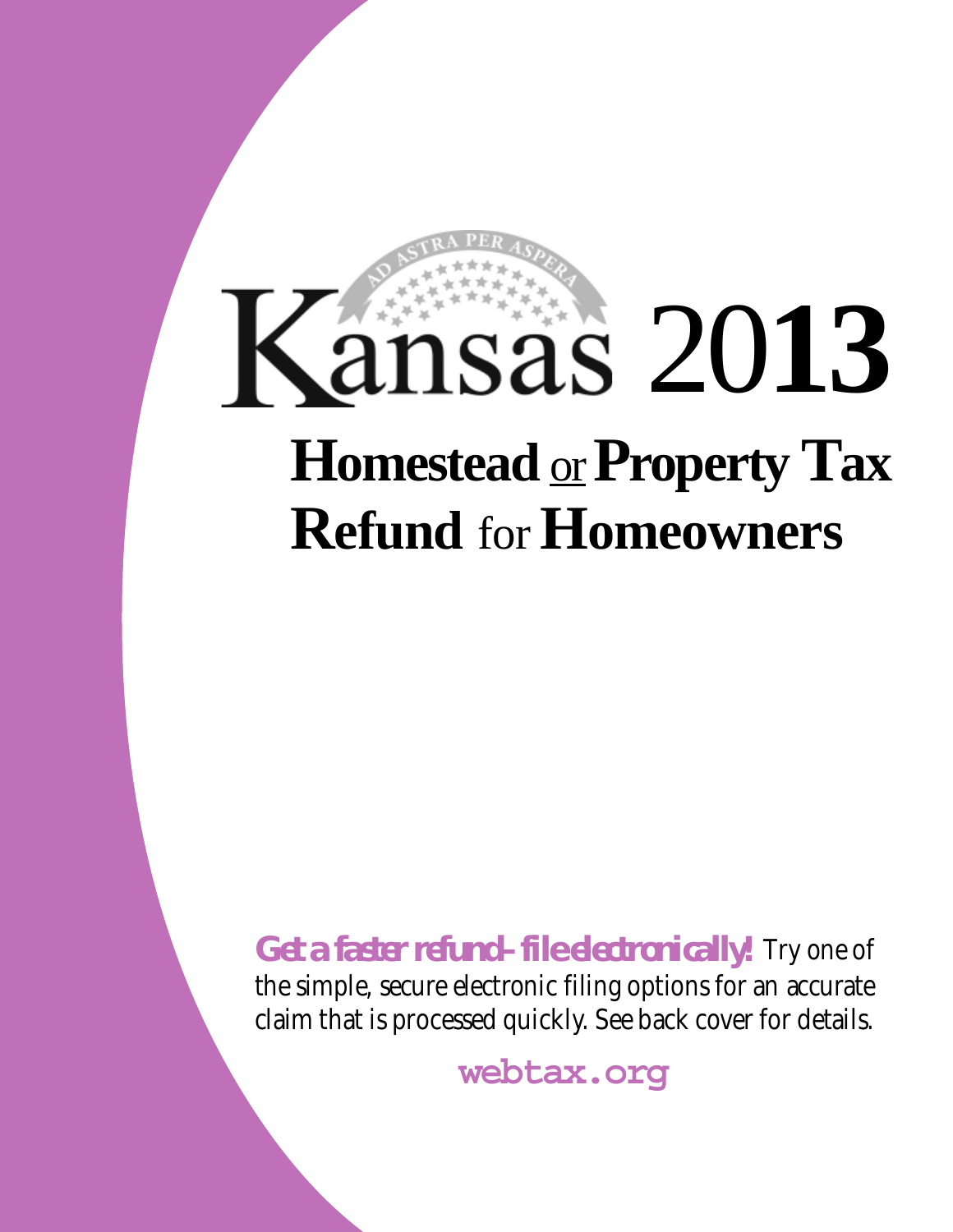# 20**13 Homestead** or **Property Tax Refund** for **Homeowners**

*Get a faster refund–file electronically!* Try one of the simple, secure electronic filing options for an accurate claim that is processed quickly. See back cover for details.

**webtax.org**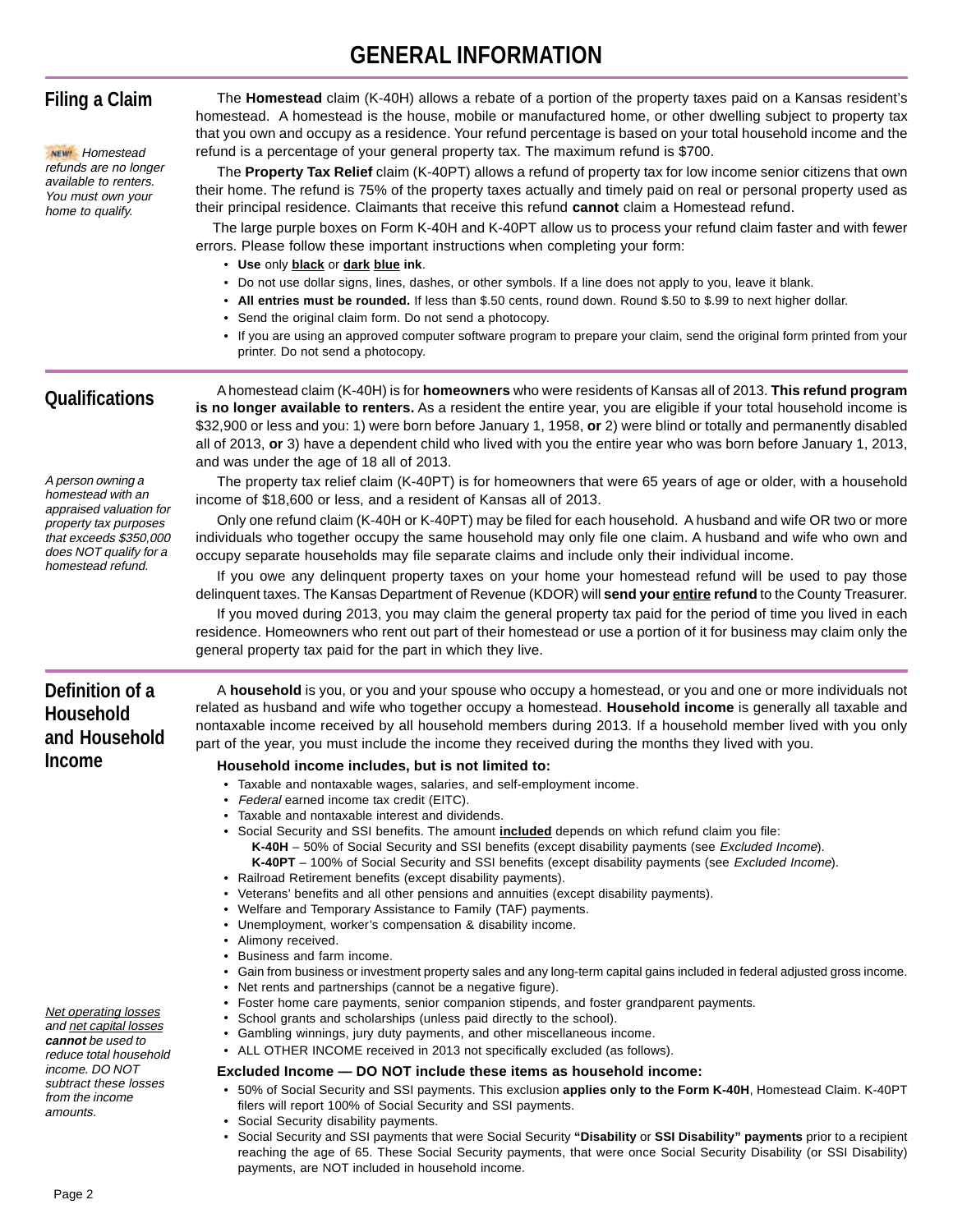## **GENERAL INFORMATION**

| <b>Filing a Claim</b><br><b>NEW!</b> Homestead<br>refunds are no longer<br>available to renters.<br>You must own your<br>home to qualify.                                      | The Homestead claim (K-40H) allows a rebate of a portion of the property taxes paid on a Kansas resident's<br>homestead. A homestead is the house, mobile or manufactured home, or other dwelling subject to property tax<br>that you own and occupy as a residence. Your refund percentage is based on your total household income and the<br>refund is a percentage of your general property tax. The maximum refund is \$700.<br>The Property Tax Relief claim (K-40PT) allows a refund of property tax for low income senior citizens that own<br>their home. The refund is 75% of the property taxes actually and timely paid on real or personal property used as<br>their principal residence. Claimants that receive this refund cannot claim a Homestead refund.<br>The large purple boxes on Form K-40H and K-40PT allow us to process your refund claim faster and with fewer<br>errors. Please follow these important instructions when completing your form:<br>• Use only black or dark blue ink.<br>• Do not use dollar signs, lines, dashes, or other symbols. If a line does not apply to you, leave it blank.<br>. All entries must be rounded. If less than \$.50 cents, round down. Round \$.50 to \$.99 to next higher dollar.<br>• Send the original claim form. Do not send a photocopy.<br>• If you are using an approved computer software program to prepare your claim, send the original form printed from your<br>printer. Do not send a photocopy.         |
|--------------------------------------------------------------------------------------------------------------------------------------------------------------------------------|------------------------------------------------------------------------------------------------------------------------------------------------------------------------------------------------------------------------------------------------------------------------------------------------------------------------------------------------------------------------------------------------------------------------------------------------------------------------------------------------------------------------------------------------------------------------------------------------------------------------------------------------------------------------------------------------------------------------------------------------------------------------------------------------------------------------------------------------------------------------------------------------------------------------------------------------------------------------------------------------------------------------------------------------------------------------------------------------------------------------------------------------------------------------------------------------------------------------------------------------------------------------------------------------------------------------------------------------------------------------------------------------------------------------------------------------------------------------------------------|
| <b>Qualifications</b>                                                                                                                                                          | A homestead claim (K-40H) is for homeowners who were residents of Kansas all of 2013. This refund program<br>is no longer available to renters. As a resident the entire year, you are eligible if your total household income is<br>\$32,900 or less and you: 1) were born before January 1, 1958, or 2) were blind or totally and permanently disabled<br>all of 2013, or 3) have a dependent child who lived with you the entire year who was born before January 1, 2013,<br>and was under the age of 18 all of 2013.                                                                                                                                                                                                                                                                                                                                                                                                                                                                                                                                                                                                                                                                                                                                                                                                                                                                                                                                                                |
| A person owning a<br>homestead with an<br>appraised valuation for<br>property tax purposes<br>that exceeds \$350,000<br>does NOT qualify for a<br>homestead refund.            | The property tax relief claim (K-40PT) is for homeowners that were 65 years of age or older, with a household<br>income of \$18,600 or less, and a resident of Kansas all of 2013.<br>Only one refund claim (K-40H or K-40PT) may be filed for each household. A husband and wife OR two or more<br>individuals who together occupy the same household may only file one claim. A husband and wife who own and<br>occupy separate households may file separate claims and include only their individual income.<br>If you owe any delinquent property taxes on your home your homestead refund will be used to pay those<br>delinquent taxes. The Kansas Department of Revenue (KDOR) will send your entire refund to the County Treasurer.<br>If you moved during 2013, you may claim the general property tax paid for the period of time you lived in each<br>residence. Homeowners who rent out part of their homestead or use a portion of it for business may claim only the<br>general property tax paid for the part in which they live.                                                                                                                                                                                                                                                                                                                                                                                                                                         |
| Definition of a<br><b>Household</b><br>and Household<br>Income                                                                                                                 | A household is you, or you and your spouse who occupy a homestead, or you and one or more individuals not<br>related as husband and wife who together occupy a homestead. Household income is generally all taxable and<br>nontaxable income received by all household members during 2013. If a household member lived with you only<br>part of the year, you must include the income they received during the months they lived with you.<br>Household income includes, but is not limited to:<br>• Taxable and nontaxable wages, salaries, and self-employment income.<br>• Federal earned income tax credit (EITC).<br>Taxable and nontaxable interest and dividends.<br>• Social Security and SSI benefits. The amount <b>included</b> depends on which refund claim you file:<br>K-40H - 50% of Social Security and SSI benefits (except disability payments (see Excluded Income).<br>K-40PT - 100% of Social Security and SSI benefits (except disability payments (see <i>Excluded Income</i> ).<br>• Railroad Retirement benefits (except disability payments).<br>• Veterans' benefits and all other pensions and annuities (except disability payments).<br>• Welfare and Temporary Assistance to Family (TAF) payments.<br>• Unemployment, worker's compensation & disability income.<br>• Alimony received.<br>• Business and farm income.<br>• Gain from business or investment property sales and any long-term capital gains included in federal adjusted gross income. |
| <b>Net operating losses</b><br>and net capital losses<br>cannot be used to<br>reduce total household<br>income. DO NOT<br>subtract these losses<br>from the income<br>amounts. | • Net rents and partnerships (cannot be a negative figure).<br>• Foster home care payments, senior companion stipends, and foster grandparent payments.<br>• School grants and scholarships (unless paid directly to the school).<br>• Gambling winnings, jury duty payments, and other miscellaneous income.<br>• ALL OTHER INCOME received in 2013 not specifically excluded (as follows).<br>Excluded Income - DO NOT include these items as household income:<br>• 50% of Social Security and SSI payments. This exclusion applies only to the Form K-40H, Homestead Claim. K-40PT<br>filers will report 100% of Social Security and SSI payments.<br>• Social Security disability payments.<br>• Social Security and SSI payments that were Social Security "Disability or SSI Disability" payments prior to a recipient<br>reaching the age of 65. These Social Security payments, that were once Social Security Disability (or SSI Disability)<br>payments, are NOT included in household income.                                                                                                                                                                                                                                                                                                                                                                                                                                                                                |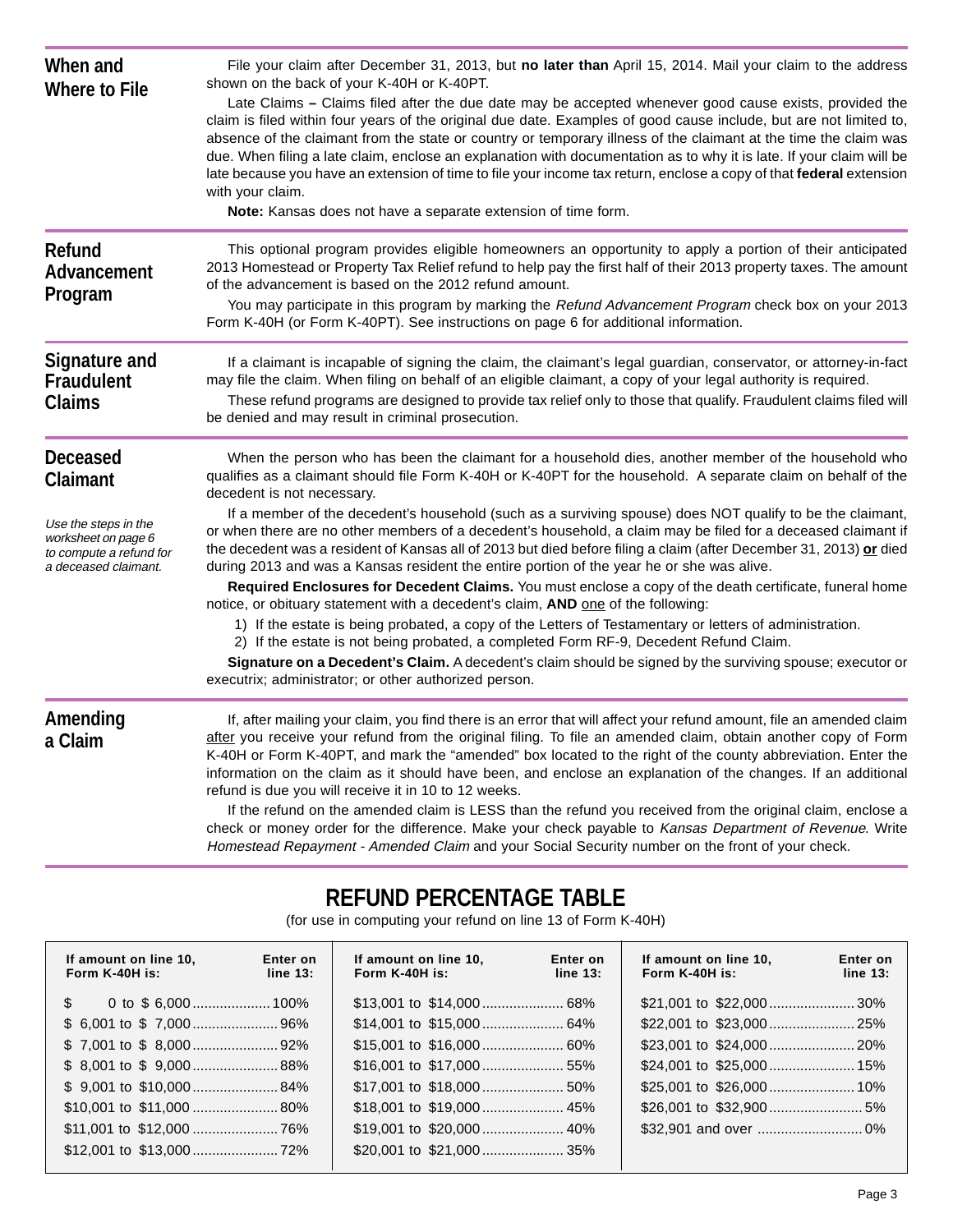| When and<br><b>Where to File</b>                                                               | File your claim after December 31, 2013, but no later than April 15, 2014. Mail your claim to the address<br>shown on the back of your K-40H or K-40PT.<br>Late Claims – Claims filed after the due date may be accepted whenever good cause exists, provided the<br>claim is filed within four years of the original due date. Examples of good cause include, but are not limited to,<br>absence of the claimant from the state or country or temporary illness of the claimant at the time the claim was<br>due. When filing a late claim, enclose an explanation with documentation as to why it is late. If your claim will be<br>late because you have an extension of time to file your income tax return, enclose a copy of that federal extension<br>with your claim.<br>Note: Kansas does not have a separate extension of time form.         |
|------------------------------------------------------------------------------------------------|---------------------------------------------------------------------------------------------------------------------------------------------------------------------------------------------------------------------------------------------------------------------------------------------------------------------------------------------------------------------------------------------------------------------------------------------------------------------------------------------------------------------------------------------------------------------------------------------------------------------------------------------------------------------------------------------------------------------------------------------------------------------------------------------------------------------------------------------------------|
| <b>Refund</b><br>Advancement<br>Program                                                        | This optional program provides eligible homeowners an opportunity to apply a portion of their anticipated<br>2013 Homestead or Property Tax Relief refund to help pay the first half of their 2013 property taxes. The amount<br>of the advancement is based on the 2012 refund amount.<br>You may participate in this program by marking the Refund Advancement Program check box on your 2013<br>Form K-40H (or Form K-40PT). See instructions on page 6 for additional information.                                                                                                                                                                                                                                                                                                                                                                  |
| <b>Signature and</b><br><b>Fraudulent</b><br><b>Claims</b>                                     | If a claimant is incapable of signing the claim, the claimant's legal guardian, conservator, or attorney-in-fact<br>may file the claim. When filing on behalf of an eligible claimant, a copy of your legal authority is required.<br>These refund programs are designed to provide tax relief only to those that qualify. Fraudulent claims filed will<br>be denied and may result in criminal prosecution.                                                                                                                                                                                                                                                                                                                                                                                                                                            |
| <b>Deceased</b><br><b>Claimant</b>                                                             | When the person who has been the claimant for a household dies, another member of the household who<br>qualifies as a claimant should file Form K-40H or K-40PT for the household. A separate claim on behalf of the<br>decedent is not necessary.                                                                                                                                                                                                                                                                                                                                                                                                                                                                                                                                                                                                      |
| Use the steps in the<br>worksheet on page 6<br>to compute a refund for<br>a deceased claimant. | If a member of the decedent's household (such as a surviving spouse) does NOT qualify to be the claimant,<br>or when there are no other members of a decedent's household, a claim may be filed for a deceased claimant if<br>the decedent was a resident of Kansas all of 2013 but died before filing a claim (after December 31, 2013) or died<br>during 2013 and was a Kansas resident the entire portion of the year he or she was alive.                                                                                                                                                                                                                                                                                                                                                                                                           |
|                                                                                                | Required Enclosures for Decedent Claims. You must enclose a copy of the death certificate, funeral home<br>notice, or obituary statement with a decedent's claim, AND one of the following:<br>1) If the estate is being probated, a copy of the Letters of Testamentary or letters of administration.<br>2) If the estate is not being probated, a completed Form RF-9, Decedent Refund Claim.<br>Signature on a Decedent's Claim. A decedent's claim should be signed by the surviving spouse; executor or<br>executrix; administrator; or other authorized person.                                                                                                                                                                                                                                                                                   |
| Amending<br>a Claim                                                                            | If, after mailing your claim, you find there is an error that will affect your refund amount, file an amended claim<br>after you receive your refund from the original filing. To file an amended claim, obtain another copy of Form<br>K-40H or Form K-40PT, and mark the "amended" box located to the right of the county abbreviation. Enter the<br>information on the claim as it should have been, and enclose an explanation of the changes. If an additional<br>refund is due you will receive it in 10 to 12 weeks.<br>If the refund on the amended claim is LESS than the refund you received from the original claim, enclose a<br>check or money order for the difference. Make your check payable to Kansas Department of Revenue. Write<br>Homestead Repayment - Amended Claim and your Social Security number on the front of your check. |

## **REFUND PERCENTAGE TABLE**

(for use in computing your refund on line 13 of Form K-40H)

| If amount on line 10,<br>Form $K-40H$ is: | Enter on<br>line 13: | If amount on line 10,<br>Form $K-40H$ is: | Enter on<br>line 13: | If amount on line 10,<br>Form $K-40H$ is: | Enter on<br>line 13: |
|-------------------------------------------|----------------------|-------------------------------------------|----------------------|-------------------------------------------|----------------------|
| $\mathbb{S}$                              |                      |                                           |                      |                                           |                      |
|                                           |                      |                                           |                      |                                           |                      |
|                                           |                      |                                           |                      |                                           |                      |
| $$8,001$ to $$9,000$ 88%                  |                      |                                           |                      |                                           |                      |
| $$9,001$ to $$10,000$ 84%                 |                      |                                           |                      |                                           |                      |
|                                           |                      |                                           |                      |                                           |                      |
|                                           |                      |                                           |                      |                                           |                      |
|                                           |                      |                                           |                      |                                           |                      |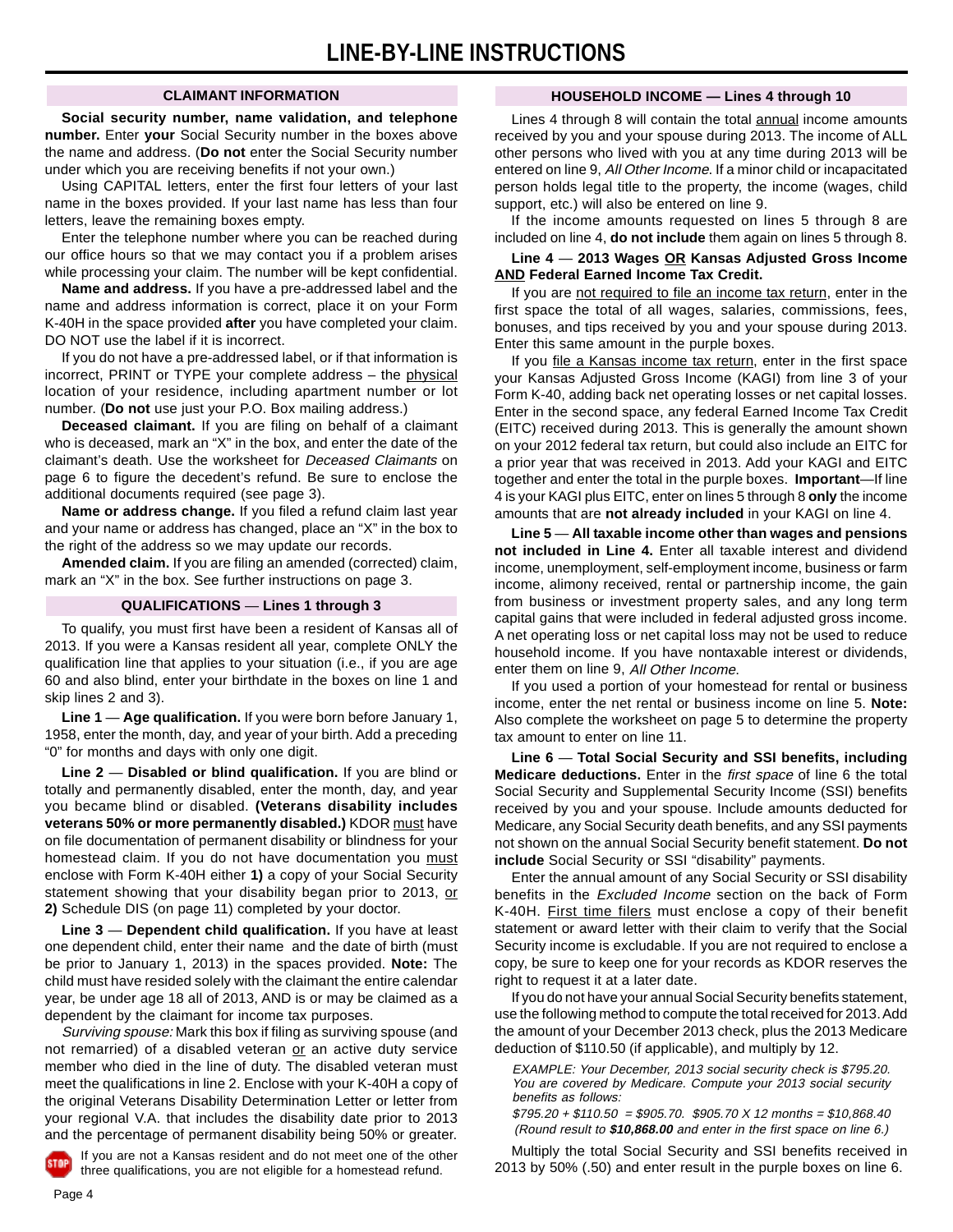#### **CLAIMANT INFORMATION**

**Social security number, name validation, and telephone number.** Enter **your** Social Security number in the boxes above the name and address. (**Do not** enter the Social Security number under which you are receiving benefits if not your own.)

Using CAPITAL letters, enter the first four letters of your last name in the boxes provided. If your last name has less than four letters, leave the remaining boxes empty.

Enter the telephone number where you can be reached during our office hours so that we may contact you if a problem arises while processing your claim. The number will be kept confidential.

**Name and address.** If you have a pre-addressed label and the name and address information is correct, place it on your Form K-40H in the space provided **after** you have completed your claim. DO NOT use the label if it is incorrect.

If you do not have a pre-addressed label, or if that information is incorrect, PRINT or TYPE your complete address – the physical location of your residence, including apartment number or lot number. (**Do not** use just your P.O. Box mailing address.)

**Deceased claimant.** If you are filing on behalf of a claimant who is deceased, mark an "X" in the box, and enter the date of the claimant's death. Use the worksheet for Deceased Claimants on page 6 to figure the decedent's refund. Be sure to enclose the additional documents required (see page 3).

**Name or address change.** If you filed a refund claim last year and your name or address has changed, place an "X" in the box to the right of the address so we may update our records.

**Amended claim.** If you are filing an amended (corrected) claim, mark an "X" in the box. See further instructions on page 3.

#### **QUALIFICATIONS** — **Lines 1 through 3**

To qualify, you must first have been a resident of Kansas all of 2013. If you were a Kansas resident all year, complete ONLY the qualification line that applies to your situation (i.e., if you are age 60 and also blind, enter your birthdate in the boxes on line 1 and skip lines 2 and 3).

**Line 1** — **Age qualification.** If you were born before January 1, 1958, enter the month, day, and year of your birth. Add a preceding "0" for months and days with only one digit.

**Line 2** — **Disabled or blind qualification.** If you are blind or totally and permanently disabled, enter the month, day, and year you became blind or disabled. **(Veterans disability includes veterans 50% or more permanently disabled.)** KDOR must have on file documentation of permanent disability or blindness for your homestead claim. If you do not have documentation you must enclose with Form K-40H either **1)** a copy of your Social Security statement showing that your disability began prior to 2013, or **2)** Schedule DIS (on page 11) completed by your doctor.

**Line 3** — **Dependent child qualification.** If you have at least one dependent child, enter their name and the date of birth (must be prior to January 1, 2013) in the spaces provided. **Note:** The child must have resided solely with the claimant the entire calendar year, be under age 18 all of 2013, AND is or may be claimed as a dependent by the claimant for income tax purposes.

Surviving spouse: Mark this box if filing as surviving spouse (and not remarried) of a disabled veteran or an active duty service member who died in the line of duty. The disabled veteran must meet the qualifications in line 2. Enclose with your K-40H a copy of the original Veterans Disability Determination Letter or letter from your regional V.A. that includes the disability date prior to 2013 and the percentage of permanent disability being 50% or greater.

If you are not a Kansas resident and do not meet one of the other three qualifications, you are not eligible for a homestead refund.

#### **HOUSEHOLD INCOME — Lines 4 through 10**

Lines 4 through 8 will contain the total annual income amounts received by you and your spouse during 2013. The income of ALL other persons who lived with you at any time during 2013 will be entered on line 9, All Other Income. If a minor child or incapacitated person holds legal title to the property, the income (wages, child support, etc.) will also be entered on line 9.

If the income amounts requested on lines 5 through 8 are included on line 4, **do not include** them again on lines 5 through 8.

#### **Line 4** — **2013 Wages OR Kansas Adjusted Gross Income AND Federal Earned Income Tax Credit.**

If you are not required to file an income tax return, enter in the first space the total of all wages, salaries, commissions, fees, bonuses, and tips received by you and your spouse during 2013. Enter this same amount in the purple boxes.

If you file a Kansas income tax return, enter in the first space your Kansas Adjusted Gross Income (KAGI) from line 3 of your Form K-40, adding back net operating losses or net capital losses. Enter in the second space, any federal Earned Income Tax Credit (EITC) received during 2013. This is generally the amount shown on your 2012 federal tax return, but could also include an EITC for a prior year that was received in 2013. Add your KAGI and EITC together and enter the total in the purple boxes. **Important**—If line 4 is your KAGI plus EITC, enter on lines 5 through 8 **only** the income amounts that are **not already included** in your KAGI on line 4.

**Line 5** — **All taxable income other than wages and pensions not included in Line 4.** Enter all taxable interest and dividend income, unemployment, self-employment income, business or farm income, alimony received, rental or partnership income, the gain from business or investment property sales, and any long term capital gains that were included in federal adjusted gross income. A net operating loss or net capital loss may not be used to reduce household income. If you have nontaxable interest or dividends, enter them on line 9, All Other Income.

If you used a portion of your homestead for rental or business income, enter the net rental or business income on line 5. **Note:**  Also complete the worksheet on page 5 to determine the property tax amount to enter on line 11.

**Line 6** — **Total Social Security and SSI benefits, including Medicare deductions.** Enter in the first space of line 6 the total Social Security and Supplemental Security Income (SSI) benefits received by you and your spouse. Include amounts deducted for Medicare, any Social Security death benefits, and any SSI payments not shown on the annual Social Security benefit statement. **Do not include** Social Security or SSI "disability" payments.

Enter the annual amount of any Social Security or SSI disability benefits in the Excluded Income section on the back of Form K-40H. First time filers must enclose a copy of their benefit statement or award letter with their claim to verify that the Social Security income is excludable. If you are not required to enclose a copy, be sure to keep one for your records as KDOR reserves the right to request it at a later date.

If you do not have your annual Social Security benefits statement, use the following method to compute the total received for 2013. Add the amount of your December 2013 check, plus the 2013 Medicare deduction of \$110.50 (if applicable), and multiply by 12.

EXAMPLE: Your December, 2013 social security check is \$795.20. You are covered by Medicare. Compute your 2013 social security benefits as follows:

 $$795.20 + $110.50 = $905.70$ . \$905.70 X 12 months = \$10,868.40 (Round result to **\$10,868.00** and enter in the first space on line 6.)

Multiply the total Social Security and SSI benefits received in 2013 by 50% (.50) and enter result in the purple boxes on line 6.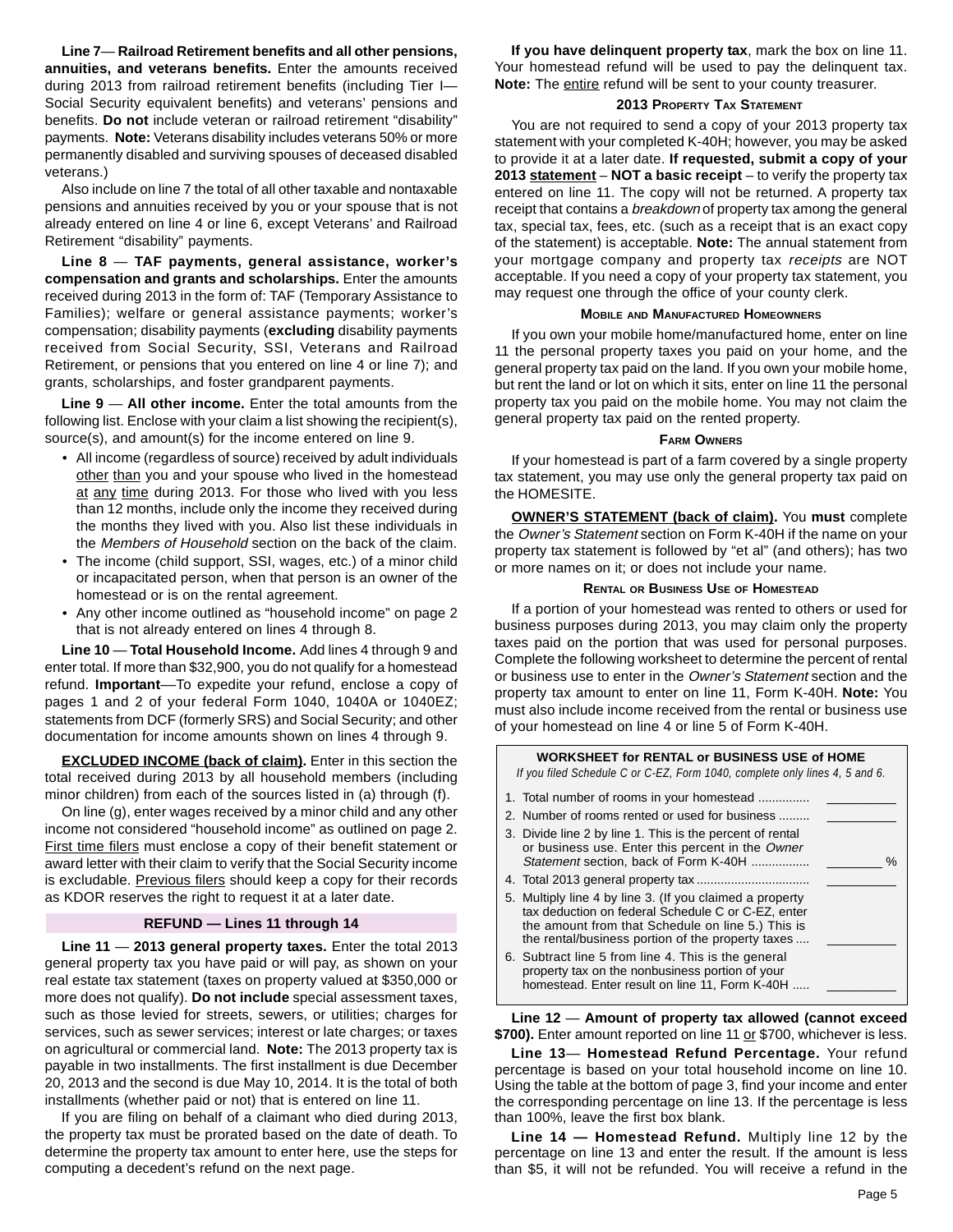**Line 7**— **Railroad Retirement benefits and all other pensions, annuities, and veterans benefits.** Enter the amounts received during 2013 from railroad retirement benefits (including Tier I— Social Security equivalent benefits) and veterans' pensions and benefits. **Do not** include veteran or railroad retirement "disability" payments. **Note:** Veterans disability includes veterans 50% or more permanently disabled and surviving spouses of deceased disabled veterans.)

Also include on line 7 the total of all other taxable and nontaxable pensions and annuities received by you or your spouse that is not already entered on line 4 or line 6, except Veterans' and Railroad Retirement "disability" payments.

**Line 8** — **TAF payments, general assistance, worker's compensation and grants and scholarships.** Enter the amounts received during 2013 in the form of: TAF (Temporary Assistance to Families); welfare or general assistance payments; worker's compensation; disability payments (**excluding** disability payments received from Social Security, SSI, Veterans and Railroad Retirement, or pensions that you entered on line 4 or line 7); and grants, scholarships, and foster grandparent payments.

**Line 9** — **All other income.** Enter the total amounts from the following list. Enclose with your claim a list showing the recipient(s), source(s), and amount(s) for the income entered on line 9.

- All income (regardless of source) received by adult individuals other than you and your spouse who lived in the homestead at any time during 2013. For those who lived with you less than 12 months, include only the income they received during the months they lived with you. Also list these individuals in the Members of Household section on the back of the claim.
- The income (child support, SSI, wages, etc.) of a minor child or incapacitated person, when that person is an owner of the homestead or is on the rental agreement.
- Any other income outlined as "household income" on page 2 that is not already entered on lines 4 through 8.

**Line 10** — **Total Household Income.** Add lines 4 through 9 and enter total. If more than \$32,900, you do not qualify for a homestead refund. **Important**––To expedite your refund, enclose a copy of pages 1 and 2 of your federal Form 1040, 1040A or 1040EZ; statements from DCF (formerly SRS) and Social Security; and other documentation for income amounts shown on lines 4 through 9.

**EXCLUDED INCOME (back of claim).** Enter in this section the total received during 2013 by all household members (including minor children) from each of the sources listed in (a) through (f).

On line (g), enter wages received by a minor child and any other income not considered "household income" as outlined on page 2. First time filers must enclose a copy of their benefit statement or award letter with their claim to verify that the Social Security income is excludable. Previous filers should keep a copy for their records as KDOR reserves the right to request it at a later date.

#### **REFUND — Lines 11 through 14**

**Line 11** — **2013 general property taxes.** Enter the total 2013 general property tax you have paid or will pay, as shown on your real estate tax statement (taxes on property valued at \$350,000 or more does not qualify). **Do not include** special assessment taxes, such as those levied for streets, sewers, or utilities; charges for services, such as sewer services; interest or late charges; or taxes on agricultural or commercial land. **Note:** The 2013 property tax is payable in two installments. The first installment is due December 20, 2013 and the second is due May 10, 2014. It is the total of both installments (whether paid or not) that is entered on line 11.

If you are filing on behalf of a claimant who died during 2013, the property tax must be prorated based on the date of death. To determine the property tax amount to enter here, use the steps for computing a decedent's refund on the next page.

**If you have delinquent property tax**, mark the box on line 11. Your homestead refund will be used to pay the delinquent tax. Note: The entire refund will be sent to your county treasurer.

#### **2013 PROPERTY TAX STATEMENT**

You are not required to send a copy of your 2013 property tax statement with your completed K-40H; however, you may be asked to provide it at a later date. **If requested, submit a copy of your 2013 statement** – **NOT a basic receipt** – to verify the property tax entered on line 11. The copy will not be returned. A property tax receipt that contains a breakdown of property tax among the general tax, special tax, fees, etc. (such as a receipt that is an exact copy of the statement) is acceptable. **Note:** The annual statement from your mortgage company and property tax receipts are NOT acceptable. If you need a copy of your property tax statement, you may request one through the office of your county clerk.

#### **MOBILE AND MANUFACTURED HOMEOWNERS**

If you own your mobile home/manufactured home, enter on line 11 the personal property taxes you paid on your home, and the general property tax paid on the land. If you own your mobile home, but rent the land or lot on which it sits, enter on line 11 the personal property tax you paid on the mobile home. You may not claim the general property tax paid on the rented property.

#### **FARM OWNERS**

If your homestead is part of a farm covered by a single property tax statement, you may use only the general property tax paid on the HOMESITE.

**OWNER'S STATEMENT (back of claim).** You **must** complete the Owner's Statement section on Form K-40H if the name on your property tax statement is followed by "et al" (and others); has two or more names on it; or does not include your name.

#### **RENTAL OR BUSINESS USE OF HOMESTEAD**

If a portion of your homestead was rented to others or used for business purposes during 2013, you may claim only the property taxes paid on the portion that was used for personal purposes. Complete the following worksheet to determine the percent of rental or business use to enter in the Owner's Statement section and the property tax amount to enter on line 11, Form K-40H. **Note:** You must also include income received from the rental or business use of your homestead on line 4 or line 5 of Form K-40H.

| <b>WORKSHEET for RENTAL or BUSINESS USE of HOME</b><br>If you filed Schedule C or C-EZ, Form 1040, complete only lines 4, 5 and 6.                                                                                       |  |  |  |  |
|--------------------------------------------------------------------------------------------------------------------------------------------------------------------------------------------------------------------------|--|--|--|--|
| 1. Total number of rooms in your homestead                                                                                                                                                                               |  |  |  |  |
| 2. Number of rooms rented or used for business                                                                                                                                                                           |  |  |  |  |
| 3. Divide line 2 by line 1. This is the percent of rental<br>or business use. Enter this percent in the Owner<br>Statement section, back of Form K-40H<br>℅                                                              |  |  |  |  |
|                                                                                                                                                                                                                          |  |  |  |  |
| 5. Multiply line 4 by line 3. (If you claimed a property<br>tax deduction on federal Schedule C or C-EZ, enter<br>the amount from that Schedule on line 5.) This is<br>the rental/business portion of the property taxes |  |  |  |  |
| 6. Subtract line 5 from line 4. This is the general<br>property tax on the nonbusiness portion of your<br>homestead. Enter result on line 11, Form K-40H                                                                 |  |  |  |  |

**Line 12** — **Amount of property tax allowed (cannot exceed**  \$700). Enter amount reported on line 11 or \$700, whichever is less.

**Line 13**— **Homestead Refund Percentage.** Your refund percentage is based on your total household income on line 10. Using the table at the bottom of page 3, find your income and enter the corresponding percentage on line 13. If the percentage is less than 100%, leave the first box blank.

**Line 14 — Homestead Refund.** Multiply line 12 by the percentage on line 13 and enter the result. If the amount is less than \$5, it will not be refunded. You will receive a refund in the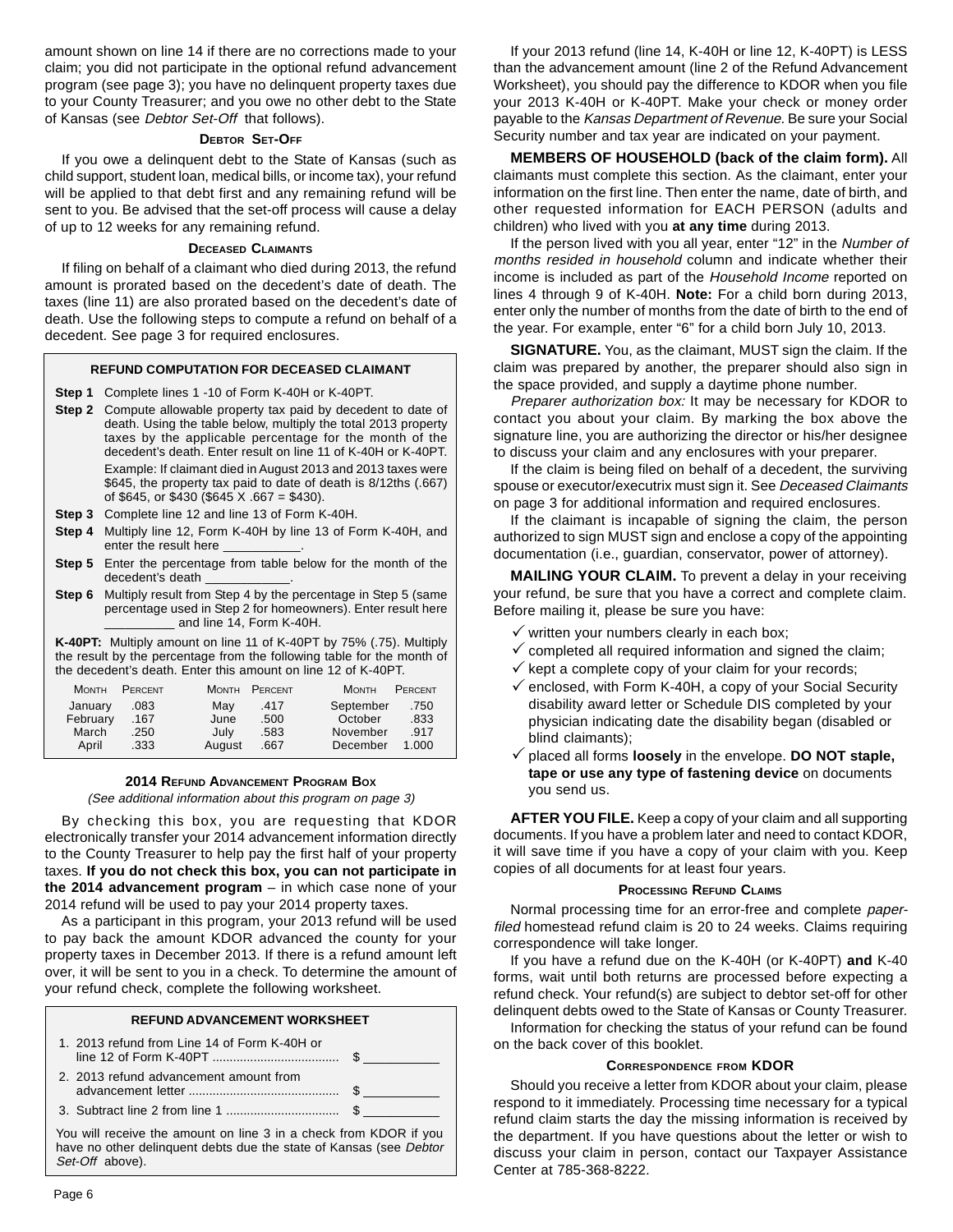amount shown on line 14 if there are no corrections made to your claim; you did not participate in the optional refund advancement program (see page 3); you have no delinquent property taxes due to your County Treasurer; and you owe no other debt to the State of Kansas (see Debtor Set-Off that follows).

#### **DEBTOR SET-OFF**

If you owe a delinquent debt to the State of Kansas (such as child support, student loan, medical bills, or income tax), your refund will be applied to that debt first and any remaining refund will be sent to you. Be advised that the set-off process will cause a delay of up to 12 weeks for any remaining refund.

#### **DECEASED CLAIMANTS**

If filing on behalf of a claimant who died during 2013, the refund amount is prorated based on the decedent's date of death. The taxes (line 11) are also prorated based on the decedent's date of death. Use the following steps to compute a refund on behalf of a decedent. See page 3 for required enclosures.

#### **REFUND COMPUTATION FOR DECEASED CLAIMANT**

**Step 1** Complete lines 1 -10 of Form K-40H or K-40PT.

- **Step 2** Compute allowable property tax paid by decedent to date of death. Using the table below, multiply the total 2013 property taxes by the applicable percentage for the month of the decedent's death. Enter result on line 11 of K-40H or K-40PT. Example: If claimant died in August 2013 and 2013 taxes were \$645, the property tax paid to date of death is 8/12ths (.667) of \$645, or \$430 (\$645 X .667 = \$430).
- **Step 3** Complete line 12 and line 13 of Form K-40H.
- **Step 4** Multiply line 12, Form K-40H by line 13 of Form K-40H, and enter the result here
- **Step 5** Enter the percentage from table below for the month of the decedent's death
- **Step 6** Multiply result from Step 4 by the percentage in Step 5 (same percentage used in Step 2 for homeowners). Enter result here \_\_\_\_\_\_\_\_\_\_ and line 14, Form K-40H.

**K-40PT:** Multiply amount on line 11 of K-40PT by 75% (.75). Multiply the result by the percentage from the following table for the month of the decedent's death. Enter this amount on line 12 of K-40PT.

| <b>MONTH</b> | PERCENT | <b>MONTH</b> | PERCENT | <b>MONTH</b> | PERCENT |
|--------------|---------|--------------|---------|--------------|---------|
| January      | .083    | Mav          | .417    | September    | .750    |
| February     | .167    | June         | .500    | October      | .833    |
| March        | .250    | July         | .583    | November     | .917    |
| April        | .333    | August       | .667    | December     | 1.000   |

#### **2014 REFUND ADVANCEMENT PROGRAM BOX**

(See additional information about this program on page 3)

By checking this box, you are requesting that KDOR electronically transfer your 2014 advancement information directly to the County Treasurer to help pay the first half of your property taxes. **If you do not check this box, you can not participate in the 2014 advancement program** – in which case none of your 2014 refund will be used to pay your 2014 property taxes.

As a participant in this program, your 2013 refund will be used to pay back the amount KDOR advanced the county for your property taxes in December 2013. If there is a refund amount left over, it will be sent to you in a check. To determine the amount of your refund check, complete the following worksheet.

| <b>REFUND ADVANCEMENT WORKSHEET</b>                                                                                                                        |                                              |  |  |  |
|------------------------------------------------------------------------------------------------------------------------------------------------------------|----------------------------------------------|--|--|--|
|                                                                                                                                                            | 1. 2013 refund from Line 14 of Form K-40H or |  |  |  |
|                                                                                                                                                            | 2. 2013 refund advancement amount from       |  |  |  |
|                                                                                                                                                            |                                              |  |  |  |
| You will receive the amount on line 3 in a check from KDOR if you<br>have no other delinguent debts due the state of Kansas (see Debtor<br>Set-Off above). |                                              |  |  |  |

If your 2013 refund (line 14, K-40H or line 12, K-40PT) is LESS than the advancement amount (line 2 of the Refund Advancement Worksheet), you should pay the difference to KDOR when you file your 2013 K-40H or K-40PT. Make your check or money order payable to the Kansas Department of Revenue. Be sure your Social Security number and tax year are indicated on your payment.

**MEMBERS OF HOUSEHOLD (back of the claim form).** All claimants must complete this section. As the claimant, enter your information on the first line. Then enter the name, date of birth, and other requested information for EACH PERSON (adults and children) who lived with you **at any time** during 2013.

If the person lived with you all year, enter "12" in the Number of months resided in household column and indicate whether their income is included as part of the Household Income reported on lines 4 through 9 of K-40H. **Note:** For a child born during 2013, enter only the number of months from the date of birth to the end of the year. For example, enter "6" for a child born July 10, 2013.

**SIGNATURE.** You, as the claimant, MUST sign the claim. If the claim was prepared by another, the preparer should also sign in the space provided, and supply a daytime phone number.

Preparer authorization box: It may be necessary for KDOR to contact you about your claim. By marking the box above the signature line, you are authorizing the director or his/her designee to discuss your claim and any enclosures with your preparer.

If the claim is being filed on behalf of a decedent, the surviving spouse or executor/executrix must sign it. See Deceased Claimants on page 3 for additional information and required enclosures.

If the claimant is incapable of signing the claim, the person authorized to sign MUST sign and enclose a copy of the appointing documentation (i.e., guardian, conservator, power of attorney).

**MAILING YOUR CLAIM.** To prevent a delay in your receiving your refund, be sure that you have a correct and complete claim. Before mailing it, please be sure you have:

- $\checkmark$  written your numbers clearly in each box;
- $\checkmark$  completed all required information and signed the claim;
- $\checkmark$  kept a complete copy of your claim for your records;
- $\checkmark$  enclosed, with Form K-40H, a copy of your Social Security disability award letter or Schedule DIS completed by your physician indicating date the disability began (disabled or blind claimants);
- $\checkmark$  placed all forms **loosely** in the envelope. **DO NOT staple, tape or use any type of fastening device** on documents you send us.

**AFTER YOU FILE.** Keep a copy of your claim and all supporting documents. If you have a problem later and need to contact KDOR, it will save time if you have a copy of your claim with you. Keep copies of all documents for at least four years.

#### **PROCESSING REFUND CLAIMS**

Normal processing time for an error-free and complete paperfiled homestead refund claim is 20 to 24 weeks. Claims requiring correspondence will take longer.

If you have a refund due on the K-40H (or K-40PT) **and** K-40 forms, wait until both returns are processed before expecting a refund check. Your refund(s) are subject to debtor set-off for other delinquent debts owed to the State of Kansas or County Treasurer.

Information for checking the status of your refund can be found on the back cover of this booklet.

#### **CORRESPONDENCE FROM KDOR**

Should you receive a letter from KDOR about your claim, please respond to it immediately. Processing time necessary for a typical refund claim starts the day the missing information is received by the department. If you have questions about the letter or wish to discuss your claim in person, contact our Taxpayer Assistance Center at 785-368-8222.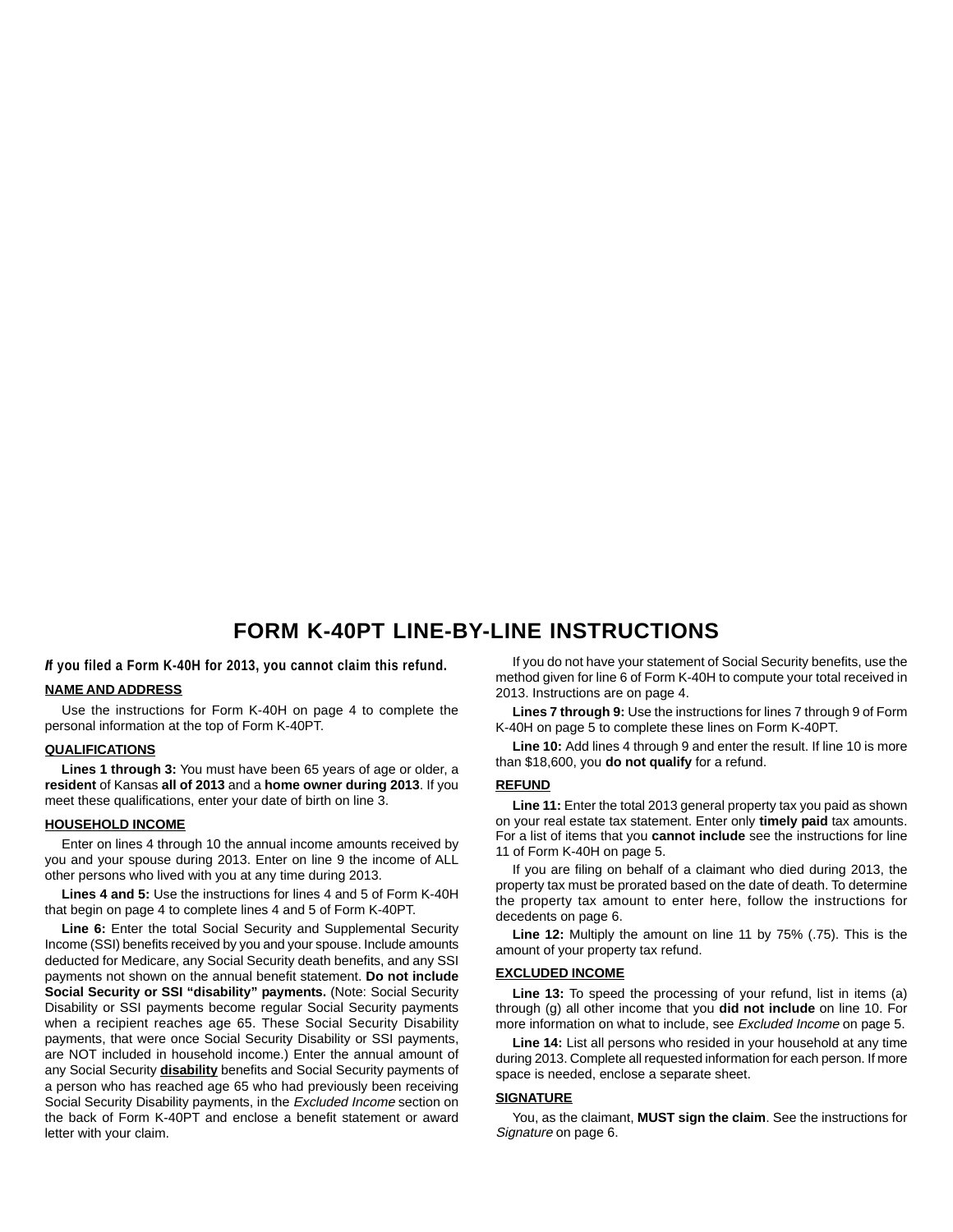### **FORM K-40PT LINE-BY-LINE INSTRUCTIONS**

*I***f you filed a Form K-40H for 2013, you cannot claim this refund.** 

#### **NAME AND ADDRESS**

Use the instructions for Form K-40H on page 4 to complete the personal information at the top of Form K-40PT.

#### **QUALIFICATIONS**

**Lines 1 through 3:** You must have been 65 years of age or older, a **resident** of Kansas **all of 2013** and a **home owner during 2013**. If you meet these qualifications, enter your date of birth on line 3.

#### **HOUSEHOLD INCOME**

Enter on lines 4 through 10 the annual income amounts received by you and your spouse during 2013. Enter on line 9 the income of ALL other persons who lived with you at any time during 2013.

**Lines 4 and 5:** Use the instructions for lines 4 and 5 of Form K-40H that begin on page 4 to complete lines 4 and 5 of Form K-40PT.

Line 6: Enter the total Social Security and Supplemental Security Income (SSI) benefits received by you and your spouse. Include amounts deducted for Medicare, any Social Security death benefits, and any SSI payments not shown on the annual benefit statement. **Do not include Social Security or SSI "disability" payments.** (Note: Social Security Disability or SSI payments become regular Social Security payments when a recipient reaches age 65. These Social Security Disability payments, that were once Social Security Disability or SSI payments, are NOT included in household income.) Enter the annual amount of any Social Security **disability** benefits and Social Security payments of a person who has reached age 65 who had previously been receiving Social Security Disability payments, in the Excluded Income section on the back of Form K-40PT and enclose a benefit statement or award letter with your claim.

If you do not have your statement of Social Security benefits, use the method given for line 6 of Form K-40H to compute your total received in 2013. Instructions are on page 4.

**Lines 7 through 9:** Use the instructions for lines 7 through 9 of Form K-40H on page 5 to complete these lines on Form K-40PT.

Line 10: Add lines 4 through 9 and enter the result. If line 10 is more than \$18,600, you **do not qualify** for a refund.

#### **REFUND**

**Line 11:** Enter the total 2013 general property tax you paid as shown on your real estate tax statement. Enter only **timely paid** tax amounts. For a list of items that you **cannot include** see the instructions for line 11 of Form K-40H on page 5.

If you are filing on behalf of a claimant who died during 2013, the property tax must be prorated based on the date of death. To determine the property tax amount to enter here, follow the instructions for decedents on page 6.

**Line 12:** Multiply the amount on line 11 by 75% (.75). This is the amount of your property tax refund.

#### **EXCLUDED INCOME**

Line 13: To speed the processing of your refund, list in items (a) through (g) all other income that you **did not include** on line 10. For more information on what to include, see Excluded Income on page 5.

**Line 14:** List all persons who resided in your household at any time during 2013. Complete all requested information for each person. If more space is needed, enclose a separate sheet.

#### **SIGNATURE**

You, as the claimant, **MUST sign the claim**. See the instructions for Signature on page 6.